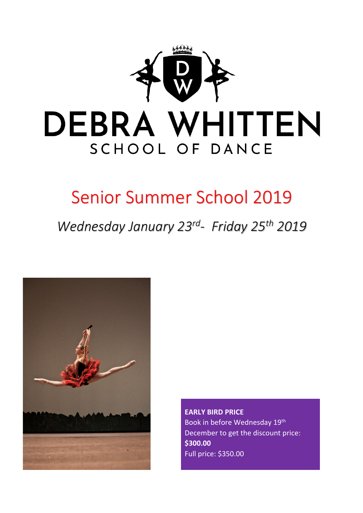

# Senior Summer School 2019

*Wednesday January 23rd- Friday 25th 2019*



**EARLY BIRD PRICE** Book in before Wednesday 19th December to get the discount price: **\$300.00** Full price: \$350.00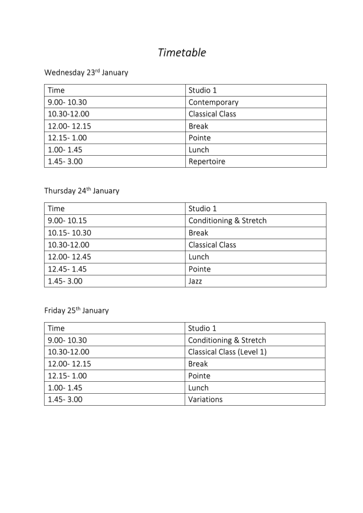### *Timetable*

### Wednesday 23rd January

| Time           | Studio 1               |
|----------------|------------------------|
| $9.00 - 10.30$ | Contemporary           |
| 10.30-12.00    | <b>Classical Class</b> |
| 12.00-12.15    | <b>Break</b>           |
| 12.15 - 1.00   | Pointe                 |
| 1.00-1.45      | Lunch                  |
| 1.45-3.00      | Repertoire             |

### Thursday 24<sup>th</sup> January

| Time          | Studio 1               |
|---------------|------------------------|
| 9.00-10.15    | Conditioning & Stretch |
| 10.15 - 10.30 | <b>Break</b>           |
| 10.30-12.00   | <b>Classical Class</b> |
| 12.00-12.45   | Lunch                  |
| 12.45 - 1.45  | Pointe                 |
| 1.45-3.00     | Jazz                   |

Friday 25th January

| Time           | Studio 1                  |
|----------------|---------------------------|
| $9.00 - 10.30$ | Conditioning & Stretch    |
| 10.30-12.00    | Classical Class (Level 1) |
| 12.00-12.15    | <b>Break</b>              |
| 12.15 - 1.00   | Pointe                    |
| 1.00-1.45      | Lunch                     |
| 1.45-3.00      | Variations                |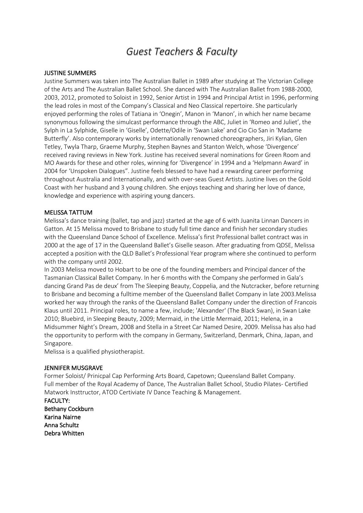### *Guest Teachers & Faculty*

#### JUSTINE SUMMERS

Justine Summers was taken into The Australian Ballet in 1989 after studying at The Victorian College of the Arts and The Australian Ballet School. She danced with The Australian Ballet from 1988-2000, 2003, 2012, promoted to Soloist in 1992, Senior Artist in 1994 and Principal Artist in 1996, performing the lead roles in most of the Company's Classical and Neo Classical repertoire. She particularly enjoyed performing the roles of Tatiana in 'Onegin', Manon in 'Manon', in which her name became synonymous following the simulcast performance through the ABC, Juliet in 'Romeo and Juliet', the Sylph in La Sylphide, Giselle in 'Giselle', Odette/Odile in 'Swan Lake' and Cio Cio San in 'Madame Butterfly'. Also contemporary works by internationally renowned choreographers, Jiri Kylian, Glen Tetley, Twyla Tharp, Graeme Murphy, Stephen Baynes and Stanton Welch, whose 'Divergence' received raving reviews in New York. Justine has received several nominations for Green Room and MO Awards for these and other roles, winning for 'Divergence' in 1994 and a 'Helpmann Award' in 2004 for 'Unspoken Dialogues". Justine feels blessed to have had a rewarding career performing throughout Australia and Internationally, and with over-seas Guest Artists. Justine lives on the Gold Coast with her husband and 3 young children. She enjoys teaching and sharing her love of dance, knowledge and experience with aspiring young dancers.

#### MELISSA TATTUM

Melissa's dance training (ballet, tap and jazz) started at the age of 6 with Juanita Linnan Dancers in Gatton. At 15 Melissa moved to Brisbane to study full time dance and finish her secondary studies with the Queensland Dance School of Excellence. Melissa's first Professional ballet contract was in 2000 at the age of 17 in the Queensland Ballet's Giselle season. After graduating from QDSE, Melissa accepted a position with the QLD Ballet's Professional Year program where she continued to perform with the company until 2002.

In 2003 Melissa moved to Hobart to be one of the founding members and Principal dancer of the Tasmanian Classical Ballet Company. In her 6 months with the Company she performed in Gala's dancing Grand Pas de deux' from The Sleeping Beauty, Coppelia, and the Nutcracker, before returning to Brisbane and becoming a fulltime member of the Queensland Ballet Company in late 2003.Melissa worked her way through the ranks of the Queensland Ballet Company under the direction of Francois Klaus until 2011. Principal roles, to name a few, include; 'Alexander' (The Black Swan), in Swan Lake 2010; Bluebird, in Sleeping Beauty, 2009; Mermaid, in the Little Mermaid, 2011; Helena, in a Midsummer Night's Dream, 2008 and Stella in a Street Car Named Desire, 2009. Melissa has also had the opportunity to perform with the company in Germany, Switzerland, Denmark, China, Japan, and Singapore.

Melissa is a qualified physiotherapist.

#### JENNIFER MUSGRAVE

Former Soloist/ Prinicpal Cap Performing Arts Board, Capetown; Queensland Ballet Company. Full member of the Royal Academy of Dance, The Australian Ballet School, Studio Pilates- Certified Matwork Insttructor, ATOD Certiviate IV Dance Teaching & Management.

FACULTY: Bethany Cockburn Karina Nairne Anna Schultz Debra Whitten